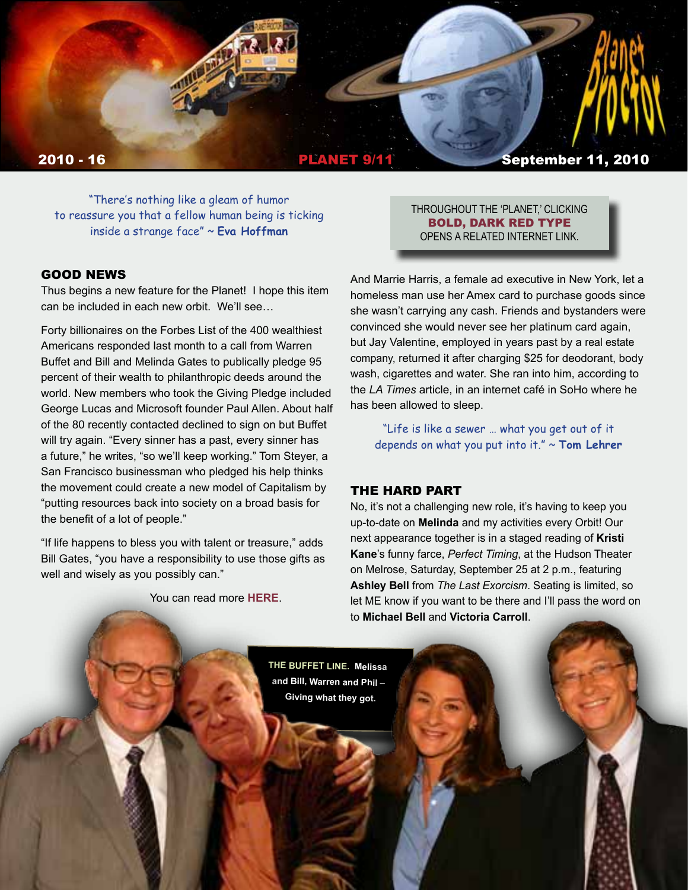

"There's nothing like a gleam of humor to reassure you that a fellow human being is ticking inside a strange face" ~ **Eva Hoffman**

### GOOD NEWS

Thus begins a new feature for the Planet! I hope this item can be included in each new orbit. We'll see

Forty billionaires on the Forbes List of the 400 wealthiest Americans responded last month to a call from Warren Buffet and Bill and Melinda Gates to publically pledge 95 percent of their wealth to philanthropic deeds around the world. New members who took the Giving Pledge included George Lucas and Microsoft founder Paul Allen. About half of the 80 recently contacted declined to sign on but Buffet will try again. "Every sinner has a past, every sinner has a future," he writes, "so we'll keep working." Tom Steyer, a San Francisco businessman who pledged his help thinks the movement could create a new model of Capitalism by "putting resources back into society on a broad basis for the benefit of a lot of people."

"If life happens to bless you with talent or treasure," adds Bill Gates, "you have a responsibility to use those gifts as well and wisely as you possibly can."

THROUGHOUT THE 'PLANET,' CLICKING BOLD, DARK RED TYPE OPENS A RELATED INTERNET LINK.

And Marrie Harris, a female ad executive in New York, let a homeless man use her Amex card to purchase goods since she wasn't carrying any cash. Friends and bystanders were convinced she would never see her platinum card again, but Jay Valentine, employed in years past by a real estate company, returned it after charging \$25 for deodorant, body wash, cigarettes and water. She ran into him, according to the *LA Times* article, in an internet café in SoHo where he has been allowed to sleep.

"Life is like a sewer … what you get out of it depends on what you put into it." ~ **Tom Lehrer**

#### THE HARD PART

No, it's not a challenging new role, it's having to keep you up-to-date on **Melinda** and my activities every Orbit! Our next appearance together is in a staged reading of **Kristi Kane**'s funny farce, *Perfect Timing*, at the Hudson Theater on Melrose, Saturday, September 25 at 2 p.m., featuring **Ashley Bell** from *The Last Exorcism*. Seating is limited, so let ME know if you want to be there and I'll pass the word on to **Michael Bell** and **Victoria Carroll**.

n *CONTINUED*



**THE BUFFET LINE. Melissa and Bill, Warren and Phil – Giving what they got.**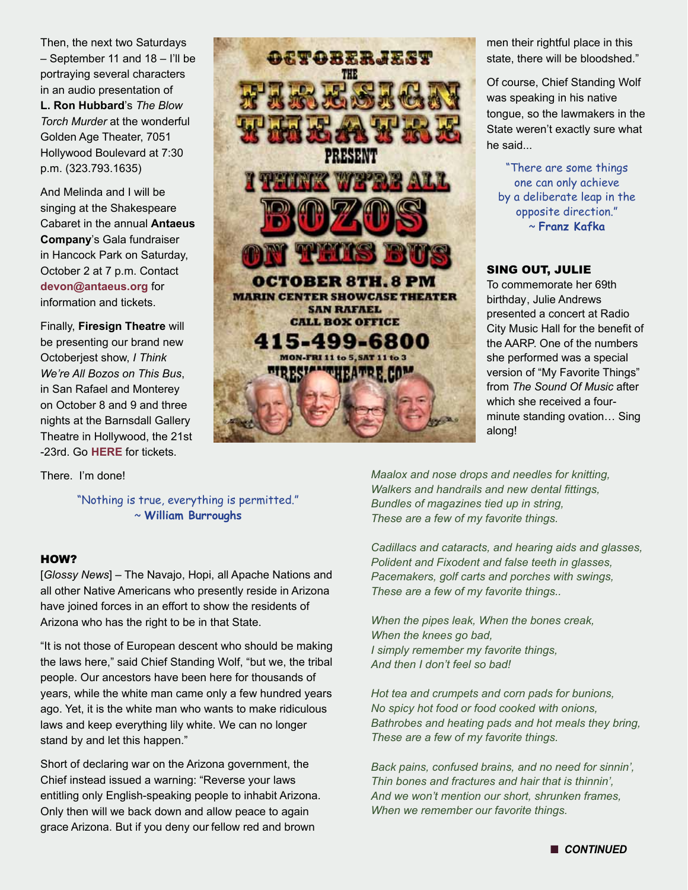Then, the next two Saturdays – September 11 and 18 – I'll be portraying several characters in an audio presentation of **L. Ron Hubbard**'s *The Blow Torch Murder* at the wonderful Golden Age Theater, 7051 Hollywood Boulevard at 7:30 p.m. (323.793.1635)

And Melinda and I will be singing at the Shakespeare Cabaret in the annual **Antaeus Company**'s Gala fundraiser in Hancock Park on Saturday, October 2 at 7 p.m. Contact **devon@antaeus.org** for information and tickets.

Finally, **Firesign Theatre** will be presenting our brand new Octoberjest show, *I Think We're All Bozos on This Bus*, in San Rafael and Monterey on October 8 and 9 and three nights at the Barnsdall Gallery Theatre in Hollywood, the 21st -23rd. Go **HERE** for tickets.

There. I'm done!

"Nothing is true, everything is permitted." ~ **William Burroughs**

#### HOW?

[*Glossy News*] – The Navajo, Hopi, all Apache Nations and all other Native Americans who presently reside in Arizona have joined forces in an effort to show the residents of Arizona who has the right to be in that State.

"It is not those of European descent who should be making the laws here," said Chief Standing Wolf, "but we, the tribal people. Our ancestors have been here for thousands of years, while the white man came only a few hundred years ago. Yet, it is the white man who wants to make ridiculous laws and keep everything lily white. We can no longer stand by and let this happen."

Short of declaring war on the Arizona government, the Chief instead issued a warning: "Reverse your laws entitling only English-speaking people to inhabit Arizona. Only then will we back down and allow peace to again grace Arizona. But if you deny our fellow red and brown



men their rightful place in this state, there will be bloodshed."

Of course, Chief Standing Wolf was speaking in his native tongue, so the lawmakers in the State weren't exactly sure what he said...

"There are some things one can only achieve by a deliberate leap in the opposite direction." ~ **Franz Kafka**

#### SING OUT, JULIE

To commemorate her 69th birthday, Julie Andrews presented a concert at Radio City Music Hall for the benefit of the AARP. One of the numbers she performed was a special version of "My Favorite Things" from *The Sound Of Music* after which she received a fourminute standing ovation… Sing along!

*Maalox and nose drops and needles for knitting, Walkers and handrails and new dental fittings, Bundles of magazines tied up in string, These are a few of my favorite things.*

*Cadillacs and cataracts, and hearing aids and glasses, Polident and Fixodent and false teeth in glasses, Pacemakers, golf carts and porches with swings, These are a few of my favorite things..*

*When the pipes leak, When the bones creak, When the knees go bad, I simply remember my favorite things, And then I don't feel so bad!*

*Hot tea and crumpets and corn pads for bunions, No spicy hot food or food cooked with onions, Bathrobes and heating pads and hot meals they bring, These are a few of my favorite things.*

*Back pains, confused brains, and no need for sinnin', Thin bones and fractures and hair that is thinnin', And we won't mention our short, shrunken frames, When we remember our favorite things.*

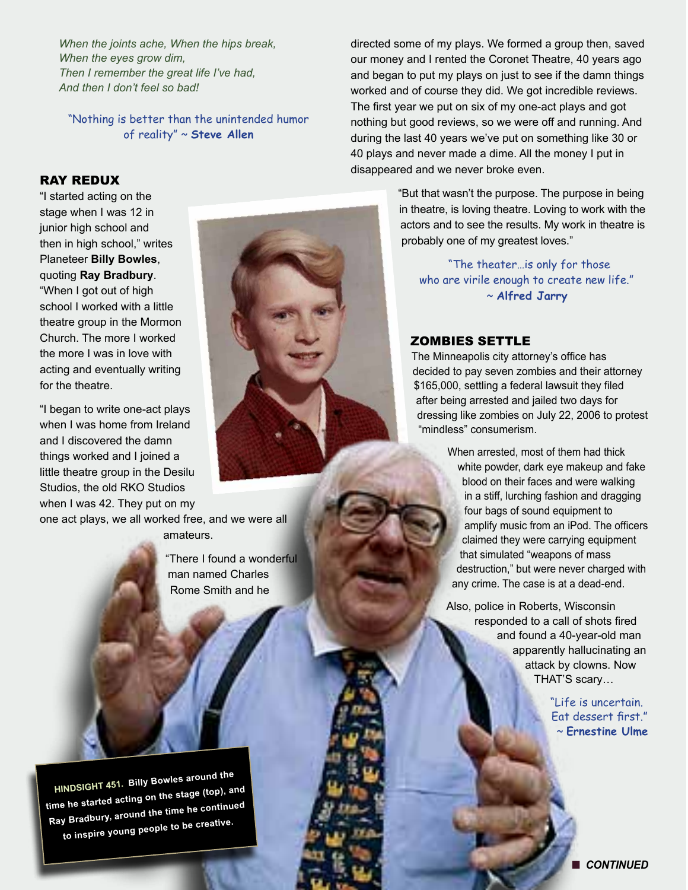*When the joints ache, When the hips break, When the eyes grow dim, Then I remember the great life I've had, And then I don't feel so bad!*

"Nothing is better than the unintended humor of reality" ~ **Steve Allen**

# RAY REDUX

"I started acting on the stage when I was 12 in junior high school and then in high school," writes Planeteer **Billy Bowles**, quoting **Ray Bradbury**. "When I got out of high school I worked with a little theatre group in the Mormon Church. The more I worked the more I was in love with acting and eventually writing for the theatre.

"I began to write one-act plays when I was home from Ireland and I discovered the damn things worked and I joined a little theatre group in the Desilu Studios, the old RKO Studios when I was 42. They put on my

one act plays, we all worked free, and we were all amateurs.

> "There I found a wonderful man named Charles Rome Smith and he

**HINDSIGHT 451. Billy Bowles around the time he started acting on the stage (top), an<sup>d</sup> Ray Bradbury, around the time he continued to inspire young people to be creative.**

directed some of my plays. We formed a group then, saved our money and I rented the Coronet Theatre, 40 years ago and began to put my plays on just to see if the damn things worked and of course they did. We got incredible reviews. The first year we put on six of my one-act plays and got nothing but good reviews, so we were off and running. And during the last 40 years we've put on something like 30 or 40 plays and never made a dime. All the money I put in disappeared and we never broke even.

> "But that wasn't the purpose. The purpose in being in theatre, is loving theatre. Loving to work with the actors and to see the results. My work in theatre is probably one of my greatest loves."

 "The theater…is only for those who are virile enough to create new life." ~ **Alfred Jarry**

#### ZOMBIES SETTLE

The Minneapolis city attorney's office has decided to pay seven zombies and their attorney \$165,000, settling a federal lawsuit they filed after being arrested and jailed two days for dressing like zombies on July 22, 2006 to protest "mindless" consumerism.

> When arrested, most of them had thick white powder, dark eye makeup and fake blood on their faces and were walking in a stiff, lurching fashion and dragging four bags of sound equipment to amplify music from an iPod. The officers claimed they were carrying equipment that simulated "weapons of mass destruction," but were never charged with any crime. The case is at a dead-end.

> Also, police in Roberts, Wisconsin responded to a call of shots fired and found a 40-year-old man apparently hallucinating an attack by clowns. Now THAT'S scary…

> > "Life is uncertain. Eat dessert first." ~ **Ernestine Ulme**

> > > **CONTINUED**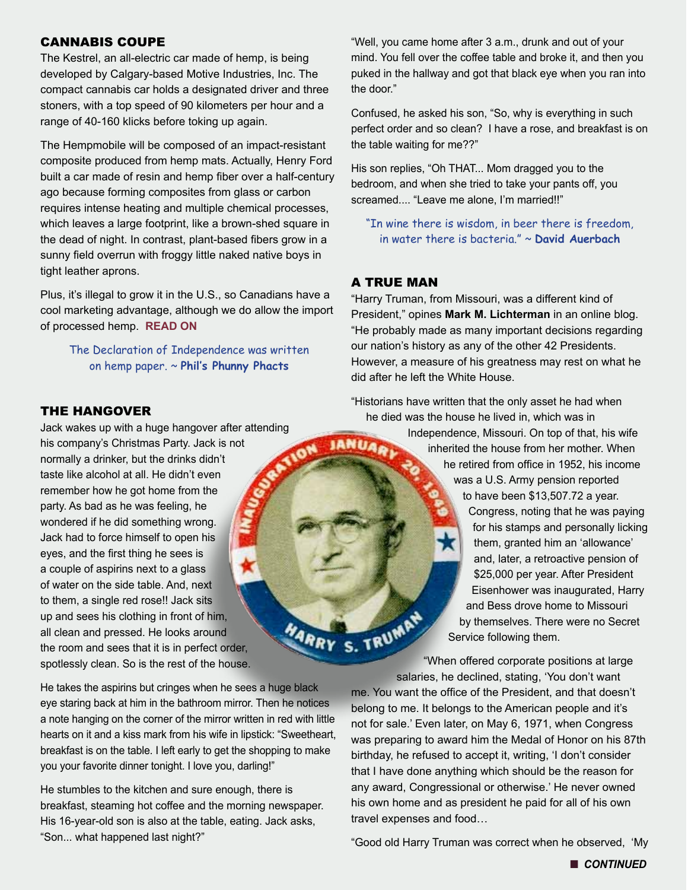## CANNABIS COUPE

The Kestrel, an all-electric car made of hemp, is being developed by Calgary-based Motive Industries, Inc. The compact cannabis car holds a designated driver and three stoners, with a top speed of 90 kilometers per hour and a range of 40-160 klicks before toking up again.

The Hempmobile will be composed of an impact-resistant composite produced from hemp mats. Actually, Henry Ford built a car made of resin and hemp fiber over a half-century ago because forming composites from glass or carbon requires intense heating and multiple chemical processes, which leaves a large footprint, like a brown-shed square in the dead of night. In contrast, plant-based fibers grow in a sunny field overrun with froggy little naked native boys in tight leather aprons.

Plus, it's illegal to grow it in the U.S., so Canadians have a cool marketing advantage, although we do allow the import of processed hemp. **READ ON**

The Declaration of Independence was written on hemp paper. ~ **Phil's Phunny Phacts**

### THE HANGOVER

Jack wakes up with a huge hangover after attending his company's Christmas Party. Jack is not normally a drinker, but the drinks didn't taste like alcohol at all. He didn't even remember how he got home from the party. As bad as he was feeling, he wondered if he did something wrong. Jack had to force himself to open his eyes, and the first thing he sees is a couple of aspirins next to a glass of water on the side table. And, next to them, a single red rose!! Jack sits up and sees his clothing in front of him, all clean and pressed. He looks around the room and sees that it is in perfect order, spotlessly clean. So is the rest of the house.

He takes the aspirins but cringes when he sees a huge black eye staring back at him in the bathroom mirror. Then he notices a note hanging on the corner of the mirror written in red with little hearts on it and a kiss mark from his wife in lipstick: "Sweetheart, breakfast is on the table. I left early to get the shopping to make you your favorite dinner tonight. I love you, darling!"

He stumbles to the kitchen and sure enough, there is breakfast, steaming hot coffee and the morning newspaper. His 16-year-old son is also at the table, eating. Jack asks, "Son... what happened last night?"

"Well, you came home after 3 a.m., drunk and out of your mind. You fell over the coffee table and broke it, and then you puked in the hallway and got that black eye when you ran into the door."

Confused, he asked his son, "So, why is everything in such perfect order and so clean? I have a rose, and breakfast is on the table waiting for me??"

His son replies, "Oh THAT... Mom dragged you to the bedroom, and when she tried to take your pants off, you screamed.... "Leave me alone, I'm married!!"

"In wine there is wisdom, in beer there is freedom, in water there is bacteria." ~ **David Auerbach** 

### A TRUE MAN

HARRY S. TRUMAN

"Harry Truman, from Missouri, was a different kind of President," opines **Mark M. Lichterman** in an online blog. "He probably made as many important decisions regarding our nation's history as any of the other 42 Presidents. However, a measure of his greatness may rest on what he did after he left the White House.

"Historians have written that the only asset he had when he died was the house he lived in, which was in

> Independence, Missouri. On top of that, his wife inherited the house from her mother. When he retired from office in 1952, his income was a U.S. Army pension reported to have been \$13,507.72 a year. Congress, noting that he was paying

for his stamps and personally licking them, granted him an 'allowance' and, later, a retroactive pension of \$25,000 per year. After President Eisenhower was inaugurated, Harry and Bess drove home to Missouri by themselves. There were no Secret Service following them.

"When offered corporate positions at large salaries, he declined, stating, 'You don't want

me. You want the office of the President, and that doesn't belong to me. It belongs to the American people and it's not for sale.' Even later, on May 6, 1971, when Congress was preparing to award him the Medal of Honor on his 87th birthday, he refused to accept it, writing, 'I don't consider that I have done anything which should be the reason for any award, Congressional or otherwise.' He never owned his own home and as president he paid for all of his own travel expenses and food…

"Good old Harry Truman was correct when he observed, 'My

**n** CONTINUED